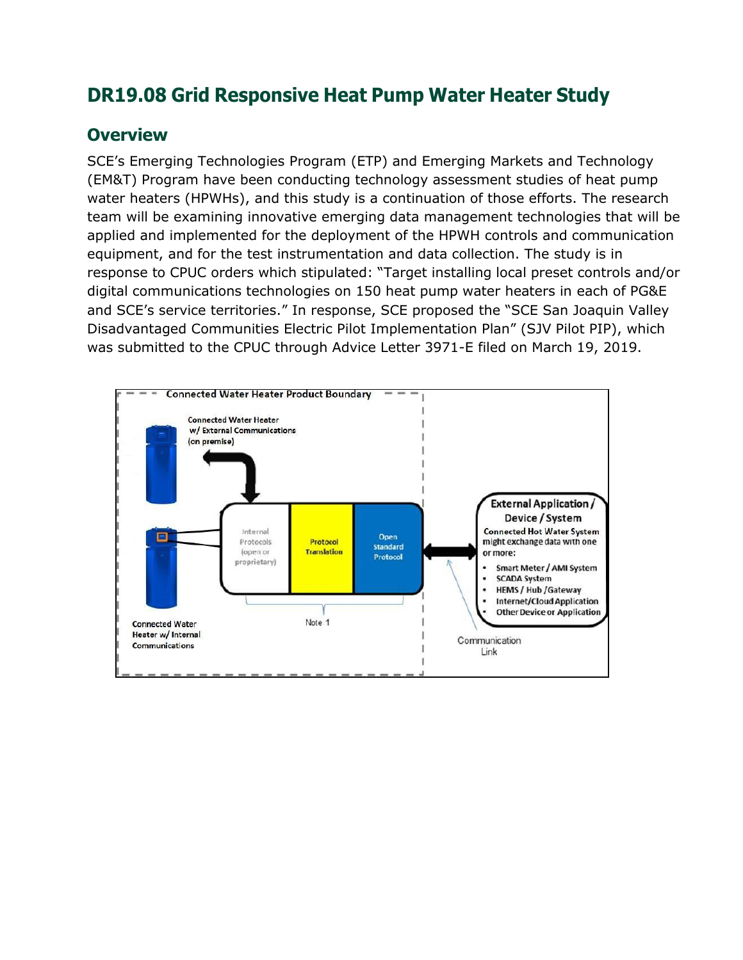# **DR19.08 Grid Responsive Heat Pump Water Heater Study**

#### **Overview**

SCE's Emerging Technologies Program (ETP) and Emerging Markets and Technology (EM&T) Program have been conducting technology assessment studies of heat pump water heaters (HPWHs), and this study is a continuation of those efforts. The research team will be examining innovative emerging data management technologies that will be applied and implemented for the deployment of the HPWH controls and communication equipment, and for the test instrumentation and data collection. The study is in response to CPUC orders which stipulated: "Target installing local preset controls and/or digital communications technologies on 150 heat pump water heaters in each of PG&E and SCE's service territories." In response, SCE proposed the "SCE San Joaquin Valley Disadvantaged Communities Electric Pilot Implementation Plan" (SJV Pilot PIP), which was submitted to the CPUC through Advice Letter 3971-E filed on March 19, 2019.

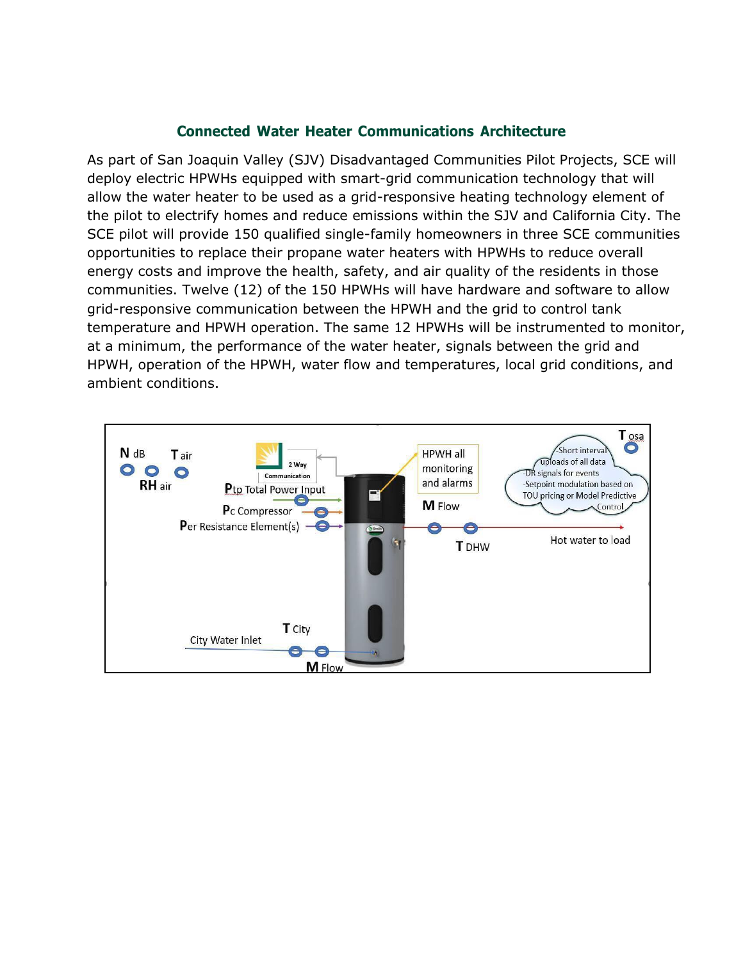#### **Connected Water Heater Communications Architecture**

As part of San Joaquin Valley (SJV) Disadvantaged Communities Pilot Projects, SCE will deploy electric HPWHs equipped with smart-grid communication technology that will allow the water heater to be used as a grid-responsive heating technology element of the pilot to electrify homes and reduce emissions within the SJV and California City. The SCE pilot will provide 150 qualified single-family homeowners in three SCE communities opportunities to replace their propane water heaters with HPWHs to reduce overall energy costs and improve the health, safety, and air quality of the residents in those communities. Twelve (12) of the 150 HPWHs will have hardware and software to allow grid-responsive communication between the HPWH and the grid to control tank temperature and HPWH operation. The same 12 HPWHs will be instrumented to monitor, at a minimum, the performance of the water heater, signals between the grid and HPWH, operation of the HPWH, water flow and temperatures, local grid conditions, and ambient conditions.

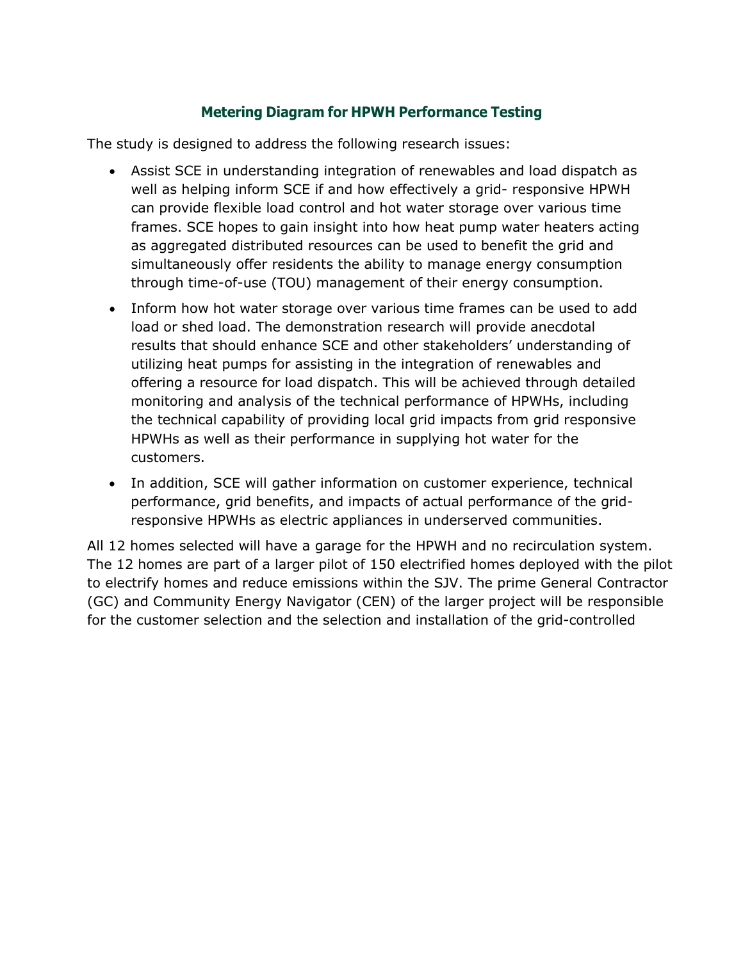#### **Metering Diagram for HPWH Performance Testing**

The study is designed to address the following research issues:

- Assist SCE in understanding integration of renewables and load dispatch as well as helping inform SCE if and how effectively a grid- responsive HPWH can provide flexible load control and hot water storage over various time frames. SCE hopes to gain insight into how heat pump water heaters acting as aggregated distributed resources can be used to benefit the grid and simultaneously offer residents the ability to manage energy consumption through time-of-use (TOU) management of their energy consumption.
- Inform how hot water storage over various time frames can be used to add load or shed load. The demonstration research will provide anecdotal results that should enhance SCE and other stakeholders' understanding of utilizing heat pumps for assisting in the integration of renewables and offering a resource for load dispatch. This will be achieved through detailed monitoring and analysis of the technical performance of HPWHs, including the technical capability of providing local grid impacts from grid responsive HPWHs as well as their performance in supplying hot water for the customers.
- In addition, SCE will gather information on customer experience, technical performance, grid benefits, and impacts of actual performance of the gridresponsive HPWHs as electric appliances in underserved communities.

All 12 homes selected will have a garage for the HPWH and no recirculation system. The 12 homes are part of a larger pilot of 150 electrified homes deployed with the pilot to electrify homes and reduce emissions within the SJV. The prime General Contractor (GC) and Community Energy Navigator (CEN) of the larger project will be responsible for the customer selection and the selection and installation of the grid-controlled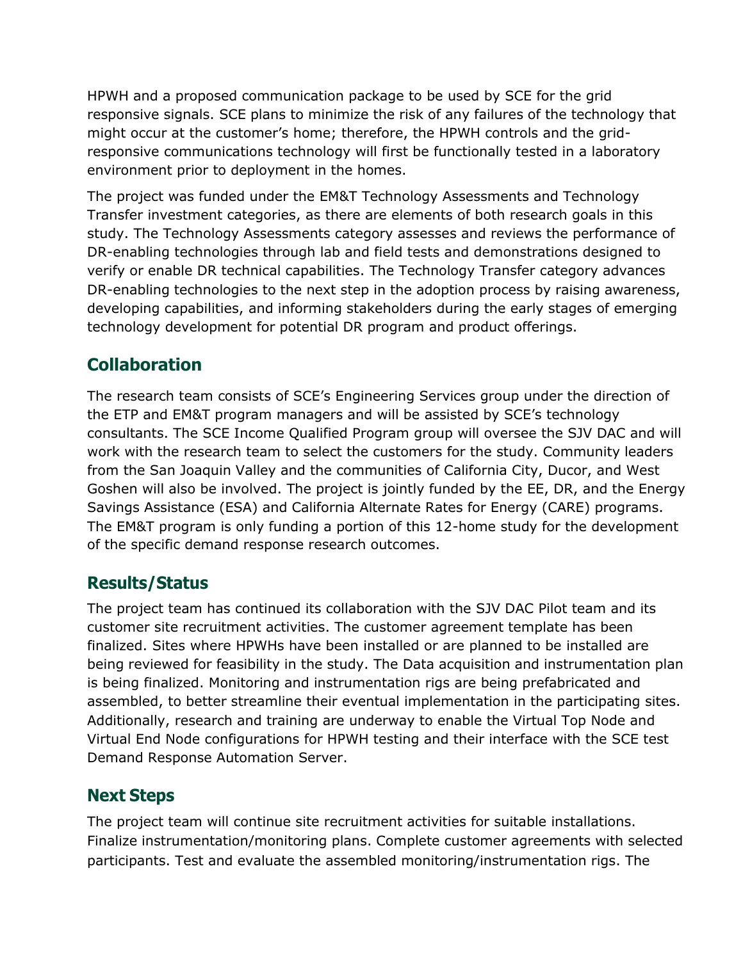HPWH and a proposed communication package to be used by SCE for the grid responsive signals. SCE plans to minimize the risk of any failures of the technology that might occur at the customer's home; therefore, the HPWH controls and the gridresponsive communications technology will first be functionally tested in a laboratory environment prior to deployment in the homes.

The project was funded under the EM&T Technology Assessments and Technology Transfer investment categories, as there are elements of both research goals in this study. The Technology Assessments category assesses and reviews the performance of DR-enabling technologies through lab and field tests and demonstrations designed to verify or enable DR technical capabilities. The Technology Transfer category advances DR-enabling technologies to the next step in the adoption process by raising awareness, developing capabilities, and informing stakeholders during the early stages of emerging technology development for potential DR program and product offerings.

## **Collaboration**

The research team consists of SCE's Engineering Services group under the direction of the ETP and EM&T program managers and will be assisted by SCE's technology consultants. The SCE Income Qualified Program group will oversee the SJV DAC and will work with the research team to select the customers for the study. Community leaders from the San Joaquin Valley and the communities of California City, Ducor, and West Goshen will also be involved. The project is jointly funded by the EE, DR, and the Energy Savings Assistance (ESA) and California Alternate Rates for Energy (CARE) programs. The EM&T program is only funding a portion of this 12-home study for the development of the specific demand response research outcomes.

## **Results/Status**

The project team has continued its collaboration with the SJV DAC Pilot team and its customer site recruitment activities. The customer agreement template has been finalized. Sites where HPWHs have been installed or are planned to be installed are being reviewed for feasibility in the study. The Data acquisition and instrumentation plan is being finalized. Monitoring and instrumentation rigs are being prefabricated and assembled, to better streamline their eventual implementation in the participating sites. Additionally, research and training are underway to enable the Virtual Top Node and Virtual End Node configurations for HPWH testing and their interface with the SCE test Demand Response Automation Server.

## **Next Steps**

The project team will continue site recruitment activities for suitable installations. Finalize instrumentation/monitoring plans. Complete customer agreements with selected participants. Test and evaluate the assembled monitoring/instrumentation rigs. The